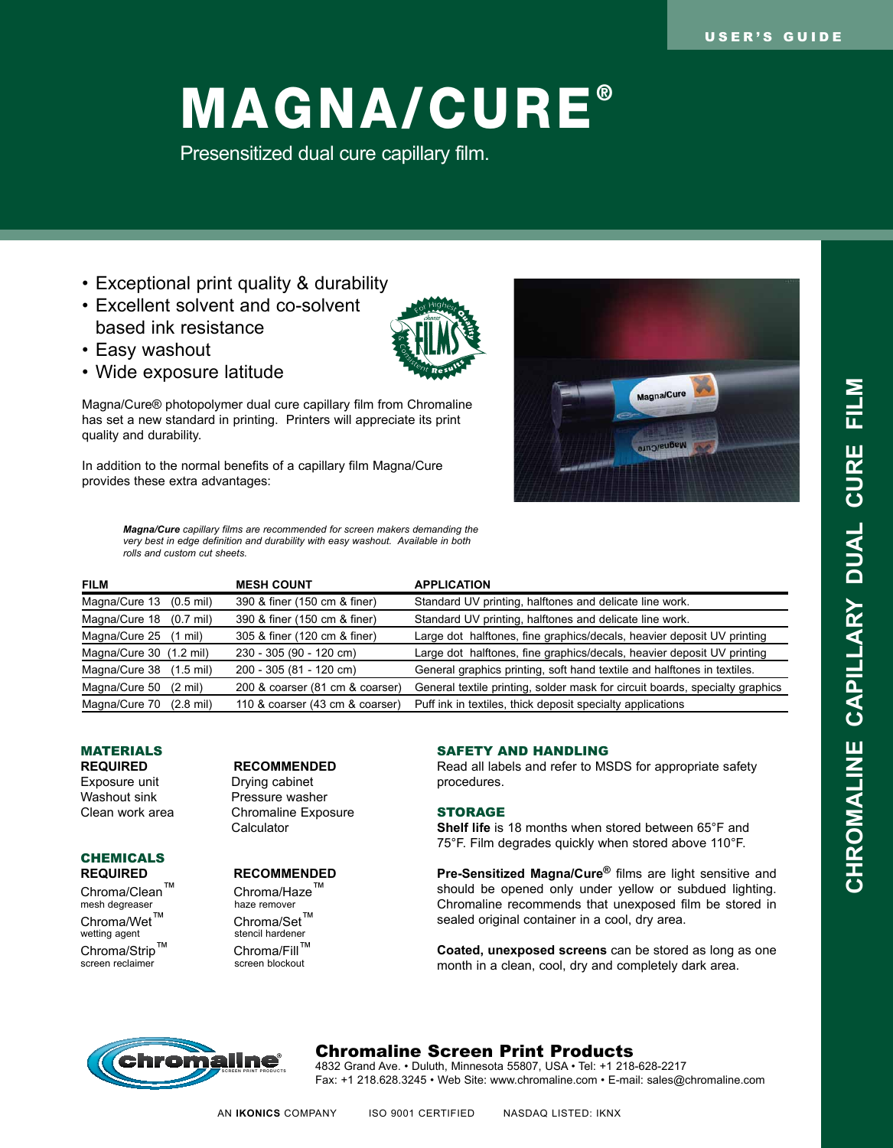# MAGNA/CURE®

Presensitized dual cure capillary film.

- Exceptional print quality & durability
- Excellent solvent and co-solvent based ink resistance
- Easy washout
- Wide exposure latitude

Magna/Cure® photopolymer dual cure capillary film from Chromaline has set a new standard in printing. Printers will appreciate its print quality and durability.

In addition to the normal benefits of a capillary film Magna/Cure provides these extra advantages:



*Magna/Cure capillary films are recommended for screen makers demanding the very best in edge definition and durability with easy washout. Available in both rolls and custom cut sheets.*

| <b>FILM</b>                          | <b>MESH COUNT</b>               | <b>APPLICATION</b>                                                           |
|--------------------------------------|---------------------------------|------------------------------------------------------------------------------|
| Magna/Cure 13<br>$(0.5 \text{ mil})$ | 390 & finer (150 cm & finer)    | Standard UV printing, halftones and delicate line work.                      |
| Magna/Cure 18 (0.7 mil)              | 390 & finer (150 cm & finer)    | Standard UV printing, halftones and delicate line work.                      |
| Magna/Cure 25 (1 mil)                | 305 & finer (120 cm & finer)    | Large dot halftones, fine graphics/decals, heavier deposit UV printing       |
| Magna/Cure 30 (1.2 mil)              | 230 - 305 (90 - 120 cm)         | Large dot halftones, fine graphics/decals, heavier deposit UV printing       |
| Magna/Cure 38 (1.5 mil)              | 200 - 305 (81 - 120 cm)         | General graphics printing, soft hand textile and halftones in textiles.      |
| Magna/Cure 50<br>$(2 \text{ mil})$   | 200 & coarser (81 cm & coarser) | General textile printing, solder mask for circuit boards, specialty graphics |
| Magna/Cure 70<br>$(2.8 \text{ mil})$ | 110 & coarser (43 cm & coarser) | Puff ink in textiles, thick deposit specialty applications                   |

## **MATERIALS**

Washout sink **Pressure washer**<br>Clean work area **Chromaline Expo** 

## **CHEMICALS**

 $Chroma/Clean^T$  Chroma/Haze<sup>™</sup><br>mesh degreaser haze remover mesh degreaser haze remover<br>Chroma/Wet<sup>TM</sup> Chroma/Set<sup>TM</sup> Chroma/Wet<sup>™</sup><br>wetting agent Chroma/Strip™ Chroma/Fill™<br>screen reclaimer screen blockout screen reclaimer

**REQUIRED RECOMMENDED**<br>Exposure unit **Drying cabinet** Drying cabinet Chromaline Exposure **Calculator** 

## **Required Recommended**

stencil hardener<br>Chroma/Fill™

## SAFETY AND HANDLING

Read all labels and refer to MSDS for appropriate safety procedures.

## STORAGE

**Shelf life** is 18 months when stored between 65°F and 75°F. Film degrades quickly when stored above 110°F.

**Pre-Sensitized Magna/Cure®** films are light sensitive and should be opened only under yellow or subdued lighting. Chromaline recommends that unexposed film be stored in sealed original container in a cool, dry area.

**Coated, unexposed screens** can be stored as long as one month in a clean, cool, dry and completely dark area.



## Chromaline Screen Print Products

4832 Grand Ave. • Duluth, Minnesota 55807, USA • Tel: +1 218-628-2217 Fax: +1 218.628.3245 • Web Site: www.chromaline.com • E-mail: sales@chromaline.com